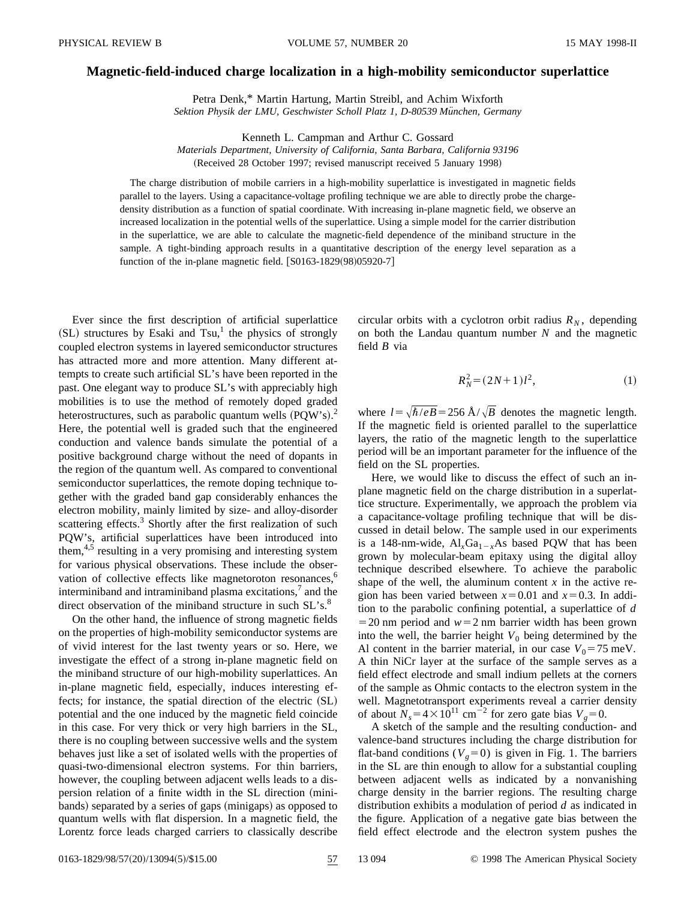## **Magnetic-field-induced charge localization in a high-mobility semiconductor superlattice**

Petra Denk,\* Martin Hartung, Martin Streibl, and Achim Wixforth Sektion Physik der LMU, Geschwister Scholl Platz 1, D-80539 München, Germany

Kenneth L. Campman and Arthur C. Gossard

*Materials Department, University of California, Santa Barbara, California 93196* (Received 28 October 1997; revised manuscript received 5 January 1998)

The charge distribution of mobile carriers in a high-mobility superlattice is investigated in magnetic fields parallel to the layers. Using a capacitance-voltage profiling technique we are able to directly probe the chargedensity distribution as a function of spatial coordinate. With increasing in-plane magnetic field, we observe an increased localization in the potential wells of the superlattice. Using a simple model for the carrier distribution in the superlattice, we are able to calculate the magnetic-field dependence of the miniband structure in the sample. A tight-binding approach results in a quantitative description of the energy level separation as a function of the in-plane magnetic field.  $[ S0163-1829(98)05920-7 ]$ 

Ever since the first description of artificial superlattice  $(SL)$  structures by Esaki and Tsu,<sup>1</sup> the physics of strongly coupled electron systems in layered semiconductor structures has attracted more and more attention. Many different attempts to create such artificial SL's have been reported in the past. One elegant way to produce SL's with appreciably high mobilities is to use the method of remotely doped graded heterostructures, such as parabolic quantum wells  $(PQW's)$ .<sup>2</sup> Here, the potential well is graded such that the engineered conduction and valence bands simulate the potential of a positive background charge without the need of dopants in the region of the quantum well. As compared to conventional semiconductor superlattices, the remote doping technique together with the graded band gap considerably enhances the electron mobility, mainly limited by size- and alloy-disorder scattering effects.<sup>3</sup> Shortly after the first realization of such PQW's, artificial superlattices have been introduced into them,<sup>4,5</sup> resulting in a very promising and interesting system for various physical observations. These include the observation of collective effects like magnetoroton resonances,<sup>6</sup> interminiband and intraminiband plasma excitations, $\lambda$  and the direct observation of the miniband structure in such SL's.<sup>8</sup>

On the other hand, the influence of strong magnetic fields on the properties of high-mobility semiconductor systems are of vivid interest for the last twenty years or so. Here, we investigate the effect of a strong in-plane magnetic field on the miniband structure of our high-mobility superlattices. An in-plane magnetic field, especially, induces interesting effects; for instance, the spatial direction of the electric  $(SL)$ potential and the one induced by the magnetic field coincide in this case. For very thick or very high barriers in the SL, there is no coupling between successive wells and the system behaves just like a set of isolated wells with the properties of quasi-two-dimensional electron systems. For thin barriers, however, the coupling between adjacent wells leads to a dispersion relation of a finite width in the SL direction (minibands) separated by a series of gaps (minigaps) as opposed to quantum wells with flat dispersion. In a magnetic field, the Lorentz force leads charged carriers to classically describe circular orbits with a cyclotron orbit radius  $R_N$ , depending on both the Landau quantum number *N* and the magnetic field *B* via

$$
R_N^2 = (2N+1)l^2,\t\t(1)
$$

where  $l = \sqrt{\hbar/eB} = 256 \text{ Å}/\sqrt{B}$  denotes the magnetic length. If the magnetic field is oriented parallel to the superlattice layers, the ratio of the magnetic length to the superlattice period will be an important parameter for the influence of the field on the SL properties.

Here, we would like to discuss the effect of such an inplane magnetic field on the charge distribution in a superlattice structure. Experimentally, we approach the problem via a capacitance-voltage profiling technique that will be discussed in detail below. The sample used in our experiments is a 148-nm-wide,  $AI_xGa_{1-x}As$  based PQW that has been grown by molecular-beam epitaxy using the digital alloy technique described elsewhere. To achieve the parabolic shape of the well, the aluminum content  $x$  in the active region has been varied between  $x=0.01$  and  $x=0.3$ . In addition to the parabolic confining potential, a superlattice of *d*  $=$  20 nm period and  $w=2$  nm barrier width has been grown into the well, the barrier height  $V_0$  being determined by the Al content in the barrier material, in our case  $V_0 = 75$  meV. A thin NiCr layer at the surface of the sample serves as a field effect electrode and small indium pellets at the corners of the sample as Ohmic contacts to the electron system in the well. Magnetotransport experiments reveal a carrier density of about  $N_s = 4 \times 10^{11}$  cm<sup>-2</sup> for zero gate bias  $V_g = 0$ .

A sketch of the sample and the resulting conduction- and valence-band structures including the charge distribution for flat-band conditions ( $V_g$ =0) is given in Fig. 1. The barriers in the SL are thin enough to allow for a substantial coupling between adjacent wells as indicated by a nonvanishing charge density in the barrier regions. The resulting charge distribution exhibits a modulation of period *d* as indicated in the figure. Application of a negative gate bias between the field effect electrode and the electron system pushes the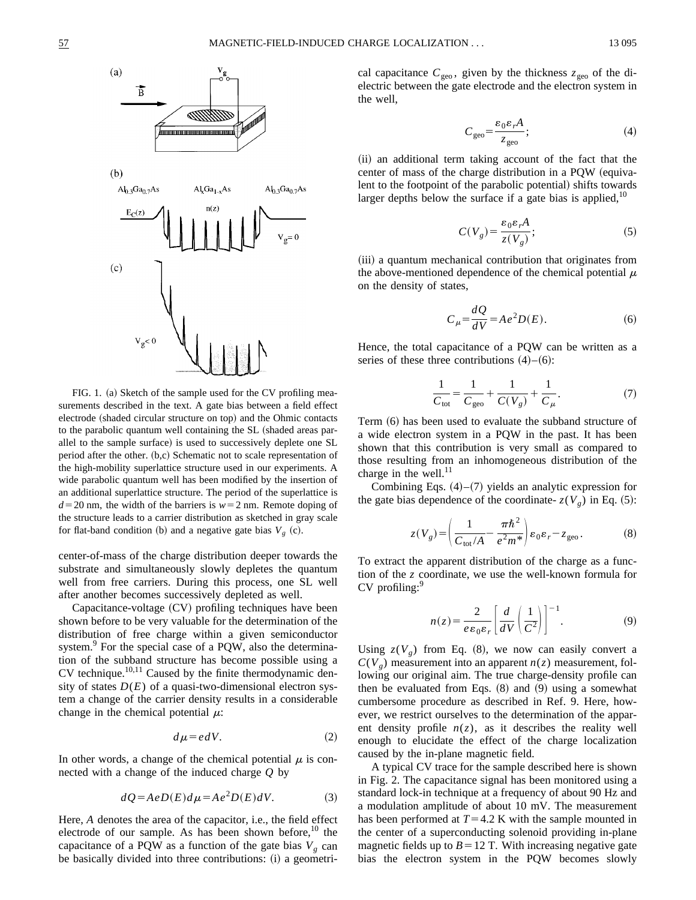

FIG. 1. (a) Sketch of the sample used for the CV profiling measurements described in the text. A gate bias between a field effect electrode (shaded circular structure on top) and the Ohmic contacts to the parabolic quantum well containing the SL (shaded areas parallel to the sample surface) is used to successively deplete one SL period after the other.  $(b,c)$  Schematic not to scale representation of the high-mobility superlattice structure used in our experiments. A wide parabolic quantum well has been modified by the insertion of an additional superlattice structure. The period of the superlattice is  $d=20$  nm, the width of the barriers is  $w=2$  nm. Remote doping of the structure leads to a carrier distribution as sketched in gray scale for flat-band condition (b) and a negative gate bias  $V_g$  (c).

center-of-mass of the charge distribution deeper towards the substrate and simultaneously slowly depletes the quantum well from free carriers. During this process, one SL well after another becomes successively depleted as well.

 $Capacitance-voltage (CV)$  profiling techniques have been shown before to be very valuable for the determination of the distribution of free charge within a given semiconductor system.<sup>9</sup> For the special case of a PQW, also the determination of the subband structure has become possible using a CV technique. $10,11$  Caused by the finite thermodynamic density of states  $D(E)$  of a quasi-two-dimensional electron system a change of the carrier density results in a considerable change in the chemical potential  $\mu$ :

$$
d\mu = edV.\t(2)
$$

In other words, a change of the chemical potential  $\mu$  is connected with a change of the induced charge *Q* by

$$
dQ = AeD(E)d\mu = Ae^2D(E)dV.
$$
 (3)

Here, *A* denotes the area of the capacitor, i.e., the field effect electrode of our sample. As has been shown before, $10$  the capacitance of a PQW as a function of the gate bias  $V_g$  can be basically divided into three contributions: (i) a geometrical capacitance  $C_{\text{geo}}$ , given by the thickness  $z_{\text{geo}}$  of the dielectric between the gate electrode and the electron system in the well,

$$
C_{\rm geo} = \frac{\varepsilon_0 \varepsilon_r A}{z_{\rm geo}}; \tag{4}
$$

(ii) an additional term taking account of the fact that the center of mass of the charge distribution in a PQW (equivalent to the footpoint of the parabolic potential) shifts towards larger depths below the surface if a gate bias is applied,  $10$ 

$$
C(V_g) = \frac{\varepsilon_0 \varepsilon_r A}{z(V_g)};
$$
 (5)

(iii) a quantum mechanical contribution that originates from the above-mentioned dependence of the chemical potential  $\mu$ on the density of states,

$$
C_{\mu} = \frac{dQ}{dV} = Ae^2 D(E). \tag{6}
$$

Hence, the total capacitance of a PQW can be written as a series of these three contributions  $(4)$ – $(6)$ :

$$
\frac{1}{C_{\text{tot}}} = \frac{1}{C_{\text{geo}}} + \frac{1}{C(V_g)} + \frac{1}{C_\mu}.
$$
 (7)

Term (6) has been used to evaluate the subband structure of a wide electron system in a PQW in the past. It has been shown that this contribution is very small as compared to those resulting from an inhomogeneous distribution of the charge in the well. $^{11}$ 

Combining Eqs.  $(4)$ – $(7)$  yields an analytic expression for the gate bias dependence of the coordinate-  $z(V_g)$  in Eq. (5):

$$
z(V_g) = \left(\frac{1}{C_{\text{tot}}/A} - \frac{\pi \hbar^2}{e^2 m^*}\right) \varepsilon_0 \varepsilon_r - z_{\text{geo}}.
$$
 (8)

To extract the apparent distribution of the charge as a function of the *z* coordinate, we use the well-known formula for CV profiling:<sup>9</sup>

$$
n(z) = \frac{2}{e \varepsilon_0 \varepsilon_r} \left[ \frac{d}{dV} \left( \frac{1}{C^2} \right) \right]^{-1}.
$$
 (9)

Using  $z(V_g)$  from Eq. (8), we now can easily convert a  $C(V_g)$  measurement into an apparent  $n(z)$  measurement, following our original aim. The true charge-density profile can then be evaluated from Eqs.  $(8)$  and  $(9)$  using a somewhat cumbersome procedure as described in Ref. 9. Here, however, we restrict ourselves to the determination of the apparent density profile  $n(z)$ , as it describes the reality well enough to elucidate the effect of the charge localization caused by the in-plane magnetic field.

A typical CV trace for the sample described here is shown in Fig. 2. The capacitance signal has been monitored using a standard lock-in technique at a frequency of about 90 Hz and a modulation amplitude of about 10 mV. The measurement has been performed at  $T=4.2$  K with the sample mounted in the center of a superconducting solenoid providing in-plane magnetic fields up to  $B=12$  T. With increasing negative gate bias the electron system in the PQW becomes slowly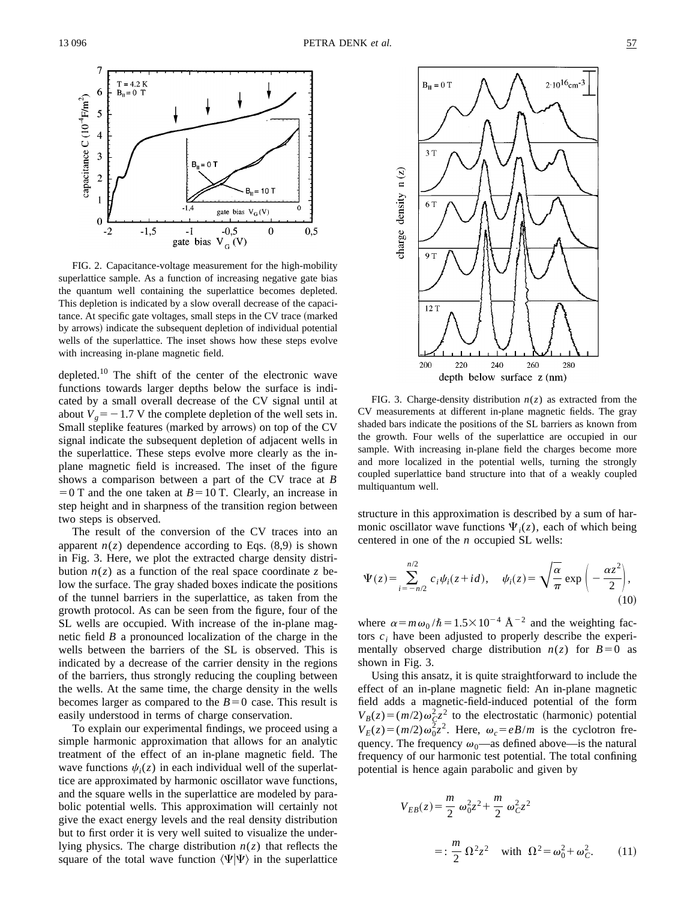

FIG. 2. Capacitance-voltage measurement for the high-mobility superlattice sample. As a function of increasing negative gate bias the quantum well containing the superlattice becomes depleted. This depletion is indicated by a slow overall decrease of the capacitance. At specific gate voltages, small steps in the CV trace (marked by arrows) indicate the subsequent depletion of individual potential wells of the superlattice. The inset shows how these steps evolve with increasing in-plane magnetic field.

depleted.<sup>10</sup> The shift of the center of the electronic wave functions towards larger depths below the surface is indicated by a small overall decrease of the CV signal until at about  $V<sub>g</sub> = -1.7$  V the complete depletion of the well sets in. Small steplike features (marked by arrows) on top of the CV signal indicate the subsequent depletion of adjacent wells in the superlattice. These steps evolve more clearly as the inplane magnetic field is increased. The inset of the figure shows a comparison between a part of the CV trace at *B*  $=0$  T and the one taken at *B* = 10 T. Clearly, an increase in step height and in sharpness of the transition region between two steps is observed.

The result of the conversion of the CV traces into an apparent  $n(z)$  dependence according to Eqs.  $(8,9)$  is shown in Fig. 3. Here, we plot the extracted charge density distribution  $n(z)$  as a function of the real space coordinate z below the surface. The gray shaded boxes indicate the positions of the tunnel barriers in the superlattice, as taken from the growth protocol. As can be seen from the figure, four of the SL wells are occupied. With increase of the in-plane magnetic field *B* a pronounced localization of the charge in the wells between the barriers of the SL is observed. This is indicated by a decrease of the carrier density in the regions of the barriers, thus strongly reducing the coupling between the wells. At the same time, the charge density in the wells becomes larger as compared to the  $B=0$  case. This result is easily understood in terms of charge conservation.

To explain our experimental findings, we proceed using a simple harmonic approximation that allows for an analytic treatment of the effect of an in-plane magnetic field. The wave functions  $\psi_i(z)$  in each individual well of the superlattice are approximated by harmonic oscillator wave functions, and the square wells in the superlattice are modeled by parabolic potential wells. This approximation will certainly not give the exact energy levels and the real density distribution but to first order it is very well suited to visualize the underlying physics. The charge distribution  $n(z)$  that reflects the square of the total wave function  $\langle \Psi | \Psi \rangle$  in the superlattice



FIG. 3. Charge-density distribution  $n(z)$  as extracted from the CV measurements at different in-plane magnetic fields. The gray shaded bars indicate the positions of the SL barriers as known from the growth. Four wells of the superlattice are occupied in our sample. With increasing in-plane field the charges become more and more localized in the potential wells, turning the strongly coupled superlattice band structure into that of a weakly coupled multiquantum well.

structure in this approximation is described by a sum of harmonic oscillator wave functions  $\Psi_i(z)$ , each of which being centered in one of the *n* occupied SL wells:

$$
\Psi(z) = \sum_{i=-n/2}^{n/2} c_i \psi_i(z+id), \quad \psi_i(z) = \sqrt{\frac{\alpha}{\pi}} \exp\left(-\frac{\alpha z^2}{2}\right),\tag{10}
$$

where  $\alpha = m\omega_0 / \hbar = 1.5 \times 10^{-4}$  Å<sup>-2</sup> and the weighting factors  $c_i$  have been adjusted to properly describe the experimentally observed charge distribution  $n(z)$  for  $B=0$  as shown in Fig. 3.

Using this ansatz, it is quite straightforward to include the effect of an in-plane magnetic field: An in-plane magnetic field adds a magnetic-field-induced potential of the form  $V_B(z) = (m/2)\omega_C^2 z^2$  to the electrostatic (harmonic) potential  $V_E(z) = (m/2)\omega_0^2 z^2$ . Here,  $\omega_c = eB/m$  is the cyclotron frequency. The frequency  $\omega_0$ —as defined above—is the natural frequency of our harmonic test potential. The total confining potential is hence again parabolic and given by

$$
V_{EB}(z) = \frac{m}{2} \omega_0^2 z^2 + \frac{m}{2} \omega_C^2 z^2
$$
  
=: 
$$
\frac{m}{2} \Omega^2 z^2 \quad \text{with} \quad \Omega^2 = \omega_0^2 + \omega_C^2.
$$
 (11)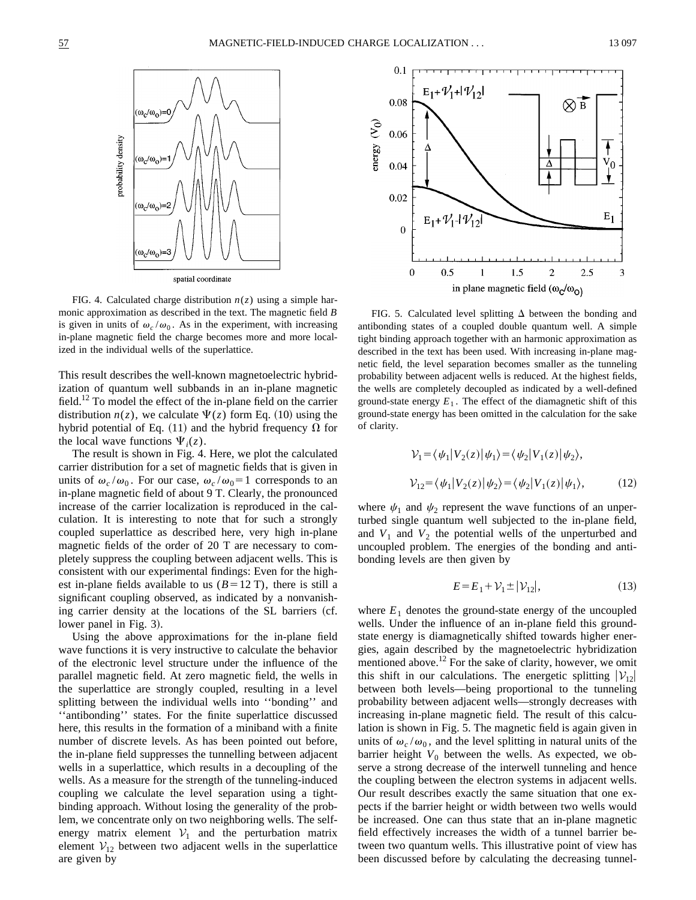

FIG. 4. Calculated charge distribution  $n(z)$  using a simple harmonic approximation as described in the text. The magnetic field *B* is given in units of  $\omega_c/\omega_0$ . As in the experiment, with increasing in-plane magnetic field the charge becomes more and more localized in the individual wells of the superlattice.

This result describes the well-known magnetoelectric hybridization of quantum well subbands in an in-plane magnetic field.<sup>12</sup> To model the effect of the in-plane field on the carrier distribution  $n(z)$ , we calculate  $\Psi(z)$  form Eq. (10) using the hybrid potential of Eq. (11) and the hybrid frequency  $\Omega$  for the local wave functions  $\Psi_i(z)$ .

The result is shown in Fig. 4. Here, we plot the calculated carrier distribution for a set of magnetic fields that is given in units of  $\omega_c/\omega_0$ . For our case,  $\omega_c/\omega_0 = 1$  corresponds to an in-plane magnetic field of about 9 T. Clearly, the pronounced increase of the carrier localization is reproduced in the calculation. It is interesting to note that for such a strongly coupled superlattice as described here, very high in-plane magnetic fields of the order of 20 T are necessary to completely suppress the coupling between adjacent wells. This is consistent with our experimental findings: Even for the highest in-plane fields available to us  $(B=12 \text{ T})$ , there is still a significant coupling observed, as indicated by a nonvanishing carrier density at the locations of the SL barriers (cf. lower panel in Fig. 3).

Using the above approximations for the in-plane field wave functions it is very instructive to calculate the behavior of the electronic level structure under the influence of the parallel magnetic field. At zero magnetic field, the wells in the superlattice are strongly coupled, resulting in a level splitting between the individual wells into ''bonding'' and ''antibonding'' states. For the finite superlattice discussed here, this results in the formation of a miniband with a finite number of discrete levels. As has been pointed out before, the in-plane field suppresses the tunnelling between adjacent wells in a superlattice, which results in a decoupling of the wells. As a measure for the strength of the tunneling-induced coupling we calculate the level separation using a tightbinding approach. Without losing the generality of the problem, we concentrate only on two neighboring wells. The selfenergy matrix element  $V_1$  and the perturbation matrix element  $V_{12}$  between two adjacent wells in the superlattice are given by



FIG. 5. Calculated level splitting  $\Delta$  between the bonding and antibonding states of a coupled double quantum well. A simple tight binding approach together with an harmonic approximation as described in the text has been used. With increasing in-plane magnetic field, the level separation becomes smaller as the tunneling probability between adjacent wells is reduced. At the highest fields, the wells are completely decoupled as indicated by a well-defined ground-state energy  $E_1$ . The effect of the diamagnetic shift of this ground-state energy has been omitted in the calculation for the sake of clarity.

$$
\mathcal{V}_1 = \langle \psi_1 | V_2(z) | \psi_1 \rangle = \langle \psi_2 | V_1(z) | \psi_2 \rangle,
$$
  

$$
\mathcal{V}_{12} = \langle \psi_1 | V_2(z) | \psi_2 \rangle = \langle \psi_2 | V_1(z) | \psi_1 \rangle,
$$
 (12)

where  $\psi_1$  and  $\psi_2$  represent the wave functions of an unperturbed single quantum well subjected to the in-plane field, and  $V_1$  and  $V_2$  the potential wells of the unperturbed and uncoupled problem. The energies of the bonding and antibonding levels are then given by

$$
E = E_1 + \mathcal{V}_1 \pm |\mathcal{V}_{12}|,\tag{13}
$$

where  $E_1$  denotes the ground-state energy of the uncoupled wells. Under the influence of an in-plane field this groundstate energy is diamagnetically shifted towards higher energies, again described by the magnetoelectric hybridization mentioned above.<sup>12</sup> For the sake of clarity, however, we omit this shift in our calculations. The energetic splitting  $|V_{12}|$ between both levels—being proportional to the tunneling probability between adjacent wells—strongly decreases with increasing in-plane magnetic field. The result of this calculation is shown in Fig. 5. The magnetic field is again given in units of  $\omega_c/\omega_0$ , and the level splitting in natural units of the barrier height  $V_0$  between the wells. As expected, we observe a strong decrease of the interwell tunneling and hence the coupling between the electron systems in adjacent wells. Our result describes exactly the same situation that one expects if the barrier height or width between two wells would be increased. One can thus state that an in-plane magnetic field effectively increases the width of a tunnel barrier between two quantum wells. This illustrative point of view has been discussed before by calculating the decreasing tunnel